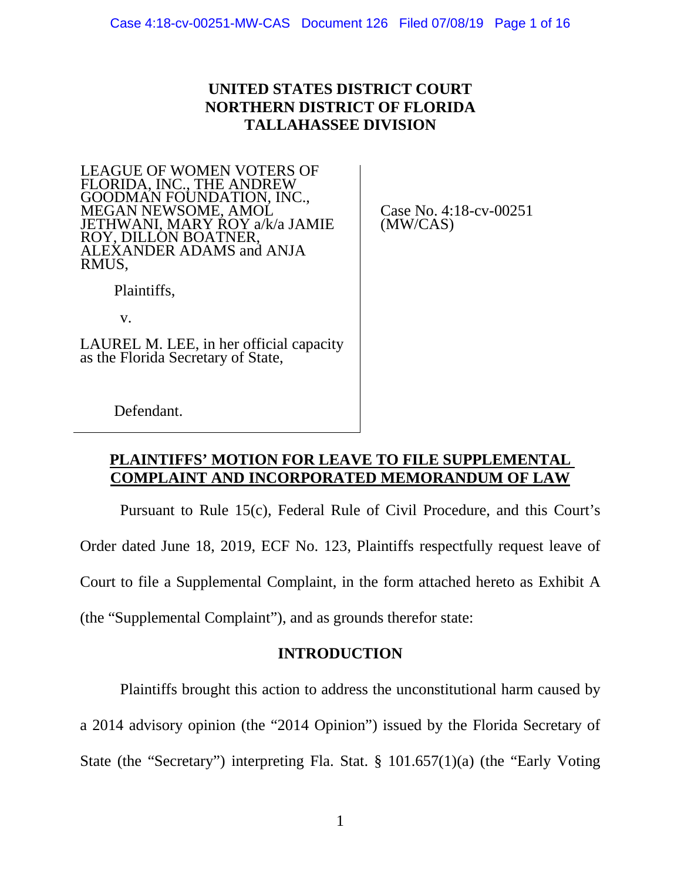## **UNITED STATES DISTRICT COURT NORTHERN DISTRICT OF FLORIDA TALLAHASSEE DIVISION**

LEAGUE OF WOMEN VOTERS OF FLORIDA, INC., THE ANDREW GOODMAN FOUNDATION, INC., MEGAN NEWSOME, AMOL JETHWANI, MARY ROY a/k/a JAMIE ROY, DILLON BOATNER, ALEXANDER ADAMS and ANJA RMUS,

Case No. 4:18-cv-00251 (MW/CAS)

Plaintiffs,

v.

LAUREL M. LEE, in her official capacity as the Florida Secretary of State,

Defendant.

### **PLAINTIFFS' MOTION FOR LEAVE TO FILE SUPPLEMENTAL COMPLAINT AND INCORPORATED MEMORANDUM OF LAW**

Pursuant to Rule 15(c), Federal Rule of Civil Procedure, and this Court's Order dated June 18, 2019, ECF No. 123, Plaintiffs respectfully request leave of Court to file a Supplemental Complaint, in the form attached hereto as Exhibit A (the "Supplemental Complaint"), and as grounds therefor state:

### **INTRODUCTION**

Plaintiffs brought this action to address the unconstitutional harm caused by a 2014 advisory opinion (the "2014 Opinion") issued by the Florida Secretary of

State (the "Secretary") interpreting Fla. Stat. § 101.657(1)(a) (the "Early Voting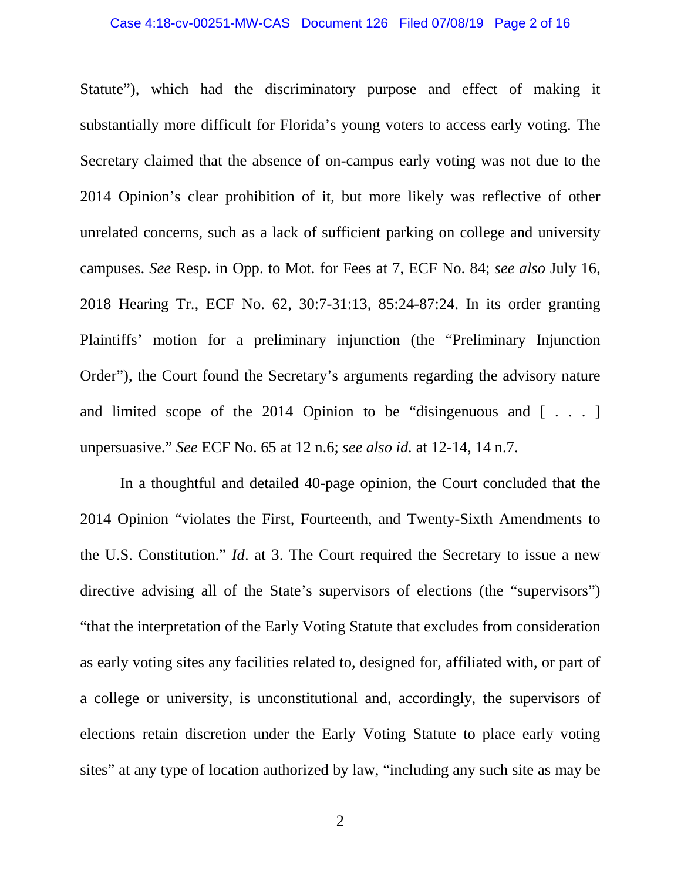#### Case 4:18-cv-00251-MW-CAS Document 126 Filed 07/08/19 Page 2 of 16

Statute"), which had the discriminatory purpose and effect of making it substantially more difficult for Florida's young voters to access early voting. The Secretary claimed that the absence of on-campus early voting was not due to the 2014 Opinion's clear prohibition of it, but more likely was reflective of other unrelated concerns, such as a lack of sufficient parking on college and university campuses. *See* Resp. in Opp. to Mot. for Fees at 7, ECF No. 84; *see also* July 16, 2018 Hearing Tr., ECF No. 62, 30:7-31:13, 85:24-87:24. In its order granting Plaintiffs' motion for a preliminary injunction (the "Preliminary Injunction Order"), the Court found the Secretary's arguments regarding the advisory nature and limited scope of the 2014 Opinion to be "disingenuous and  $[\ldots]$ unpersuasive." *See* ECF No. 65 at 12 n.6; *see also id.* at 12-14, 14 n.7.

In a thoughtful and detailed 40-page opinion, the Court concluded that the 2014 Opinion "violates the First, Fourteenth, and Twenty-Sixth Amendments to the U.S. Constitution." *Id*. at 3. The Court required the Secretary to issue a new directive advising all of the State's supervisors of elections (the "supervisors") "that the interpretation of the Early Voting Statute that excludes from consideration as early voting sites any facilities related to, designed for, affiliated with, or part of a college or university, is unconstitutional and, accordingly, the supervisors of elections retain discretion under the Early Voting Statute to place early voting sites" at any type of location authorized by law, "including any such site as may be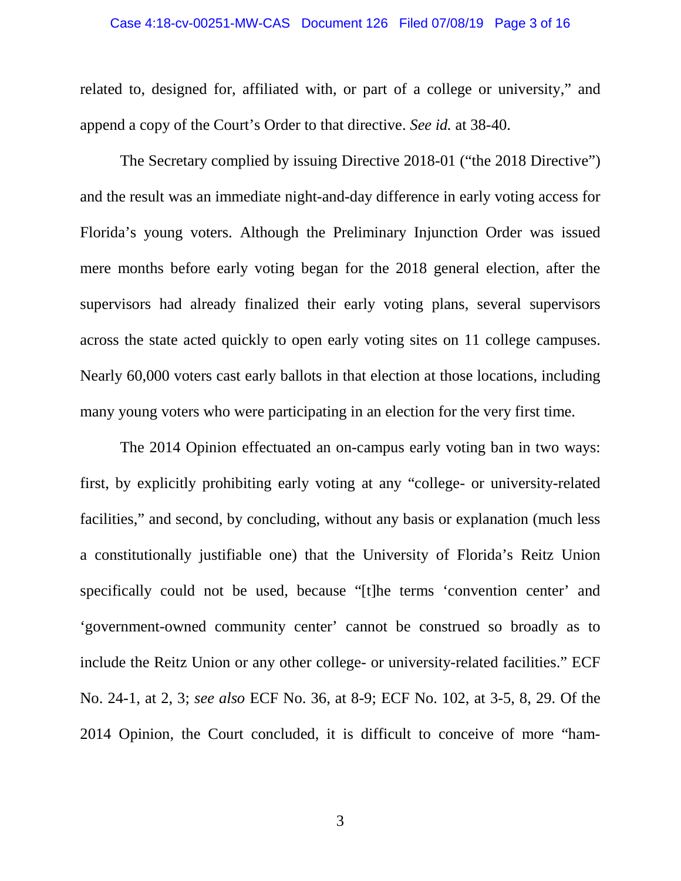# Case 4:18-cv-00251-MW-CAS Document 126 Filed 07/08/19 Page 3 of 16

related to, designed for, affiliated with, or part of a college or university," and append a copy of the Court's Order to that directive. *See id.* at 38-40.

The Secretary complied by issuing Directive 2018-01 ("the 2018 Directive") and the result was an immediate night-and-day difference in early voting access for Florida's young voters. Although the Preliminary Injunction Order was issued mere months before early voting began for the 2018 general election, after the supervisors had already finalized their early voting plans, several supervisors across the state acted quickly to open early voting sites on 11 college campuses. Nearly 60,000 voters cast early ballots in that election at those locations, including many young voters who were participating in an election for the very first time.

The 2014 Opinion effectuated an on-campus early voting ban in two ways: first, by explicitly prohibiting early voting at any "college- or university-related facilities," and second, by concluding, without any basis or explanation (much less a constitutionally justifiable one) that the University of Florida's Reitz Union specifically could not be used, because "[t]he terms 'convention center' and 'government-owned community center' cannot be construed so broadly as to include the Reitz Union or any other college- or university-related facilities." ECF No. 24-1, at 2, 3; *see also* ECF No. 36, at 8-9; ECF No. 102, at 3-5, 8, 29. Of the 2014 Opinion, the Court concluded, it is difficult to conceive of more "ham-

3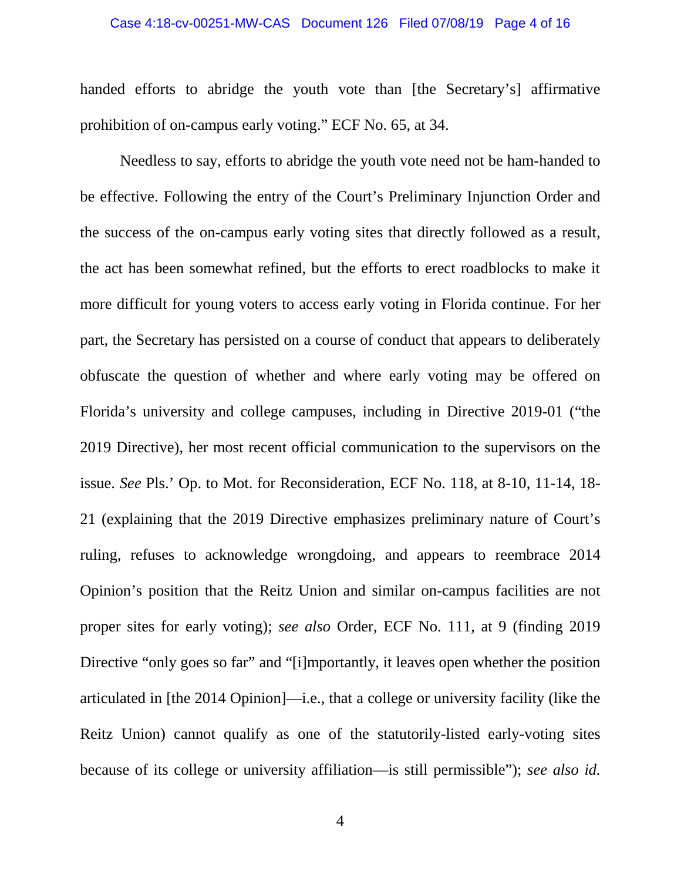### Case 4:18-cv-00251-MW-CAS Document 126 Filed 07/08/19 Page 4 of 16

handed efforts to abridge the youth vote than [the Secretary's] affirmative prohibition of on-campus early voting." ECF No. 65, at 34.

Needless to say, efforts to abridge the youth vote need not be ham-handed to be effective. Following the entry of the Court's Preliminary Injunction Order and the success of the on-campus early voting sites that directly followed as a result, the act has been somewhat refined, but the efforts to erect roadblocks to make it more difficult for young voters to access early voting in Florida continue. For her part, the Secretary has persisted on a course of conduct that appears to deliberately obfuscate the question of whether and where early voting may be offered on Florida's university and college campuses, including in Directive 2019-01 ("the 2019 Directive), her most recent official communication to the supervisors on the issue. *See* Pls.' Op. to Mot. for Reconsideration, ECF No. 118, at 8-10, 11-14, 18- 21 (explaining that the 2019 Directive emphasizes preliminary nature of Court's ruling, refuses to acknowledge wrongdoing, and appears to reembrace 2014 Opinion's position that the Reitz Union and similar on-campus facilities are not proper sites for early voting); *see also* Order, ECF No. 111, at 9 (finding 2019 Directive "only goes so far" and "[i]mportantly, it leaves open whether the position articulated in [the 2014 Opinion]—i.e., that a college or university facility (like the Reitz Union) cannot qualify as one of the statutorily-listed early-voting sites because of its college or university affiliation—is still permissible"); *see also id.*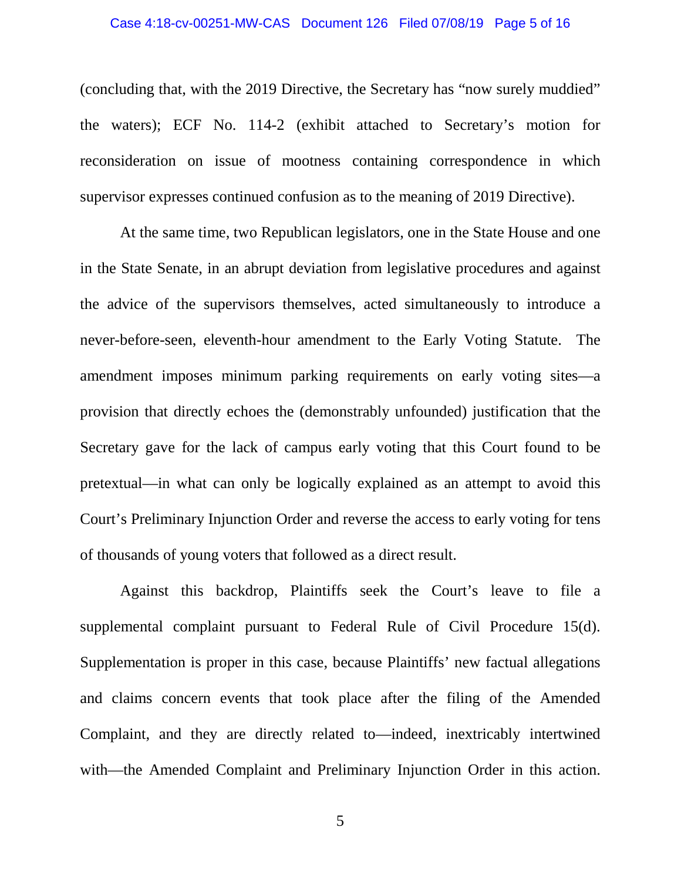#### Case 4:18-cv-00251-MW-CAS Document 126 Filed 07/08/19 Page 5 of 16

(concluding that, with the 2019 Directive, the Secretary has "now surely muddied" the waters); ECF No. 114-2 (exhibit attached to Secretary's motion for reconsideration on issue of mootness containing correspondence in which supervisor expresses continued confusion as to the meaning of 2019 Directive).

At the same time, two Republican legislators, one in the State House and one in the State Senate, in an abrupt deviation from legislative procedures and against the advice of the supervisors themselves, acted simultaneously to introduce a never-before-seen, eleventh-hour amendment to the Early Voting Statute. The amendment imposes minimum parking requirements on early voting sites—a provision that directly echoes the (demonstrably unfounded) justification that the Secretary gave for the lack of campus early voting that this Court found to be pretextual—in what can only be logically explained as an attempt to avoid this Court's Preliminary Injunction Order and reverse the access to early voting for tens of thousands of young voters that followed as a direct result.

Against this backdrop, Plaintiffs seek the Court's leave to file a supplemental complaint pursuant to Federal Rule of Civil Procedure 15(d). Supplementation is proper in this case, because Plaintiffs' new factual allegations and claims concern events that took place after the filing of the Amended Complaint, and they are directly related to—indeed, inextricably intertwined with—the Amended Complaint and Preliminary Injunction Order in this action.

5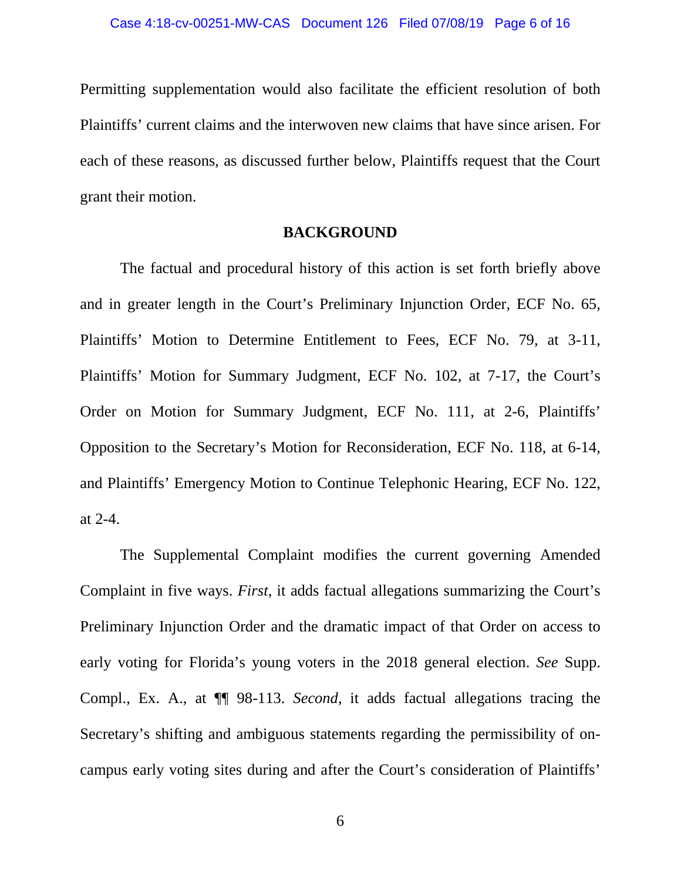Permitting supplementation would also facilitate the efficient resolution of both Plaintiffs' current claims and the interwoven new claims that have since arisen. For each of these reasons, as discussed further below, Plaintiffs request that the Court grant their motion.

#### **BACKGROUND**

The factual and procedural history of this action is set forth briefly above and in greater length in the Court's Preliminary Injunction Order, ECF No. 65, Plaintiffs' Motion to Determine Entitlement to Fees, ECF No. 79, at 3-11, Plaintiffs' Motion for Summary Judgment, ECF No. 102, at 7-17, the Court's Order on Motion for Summary Judgment, ECF No. 111, at 2-6, Plaintiffs' Opposition to the Secretary's Motion for Reconsideration, ECF No. 118, at 6-14, and Plaintiffs' Emergency Motion to Continue Telephonic Hearing, ECF No. 122, at 2-4.

The Supplemental Complaint modifies the current governing Amended Complaint in five ways. *First*, it adds factual allegations summarizing the Court's Preliminary Injunction Order and the dramatic impact of that Order on access to early voting for Florida's young voters in the 2018 general election. *See* Supp. Compl., Ex. A., at ¶¶ 98-113. *Second*, it adds factual allegations tracing the Secretary's shifting and ambiguous statements regarding the permissibility of oncampus early voting sites during and after the Court's consideration of Plaintiffs'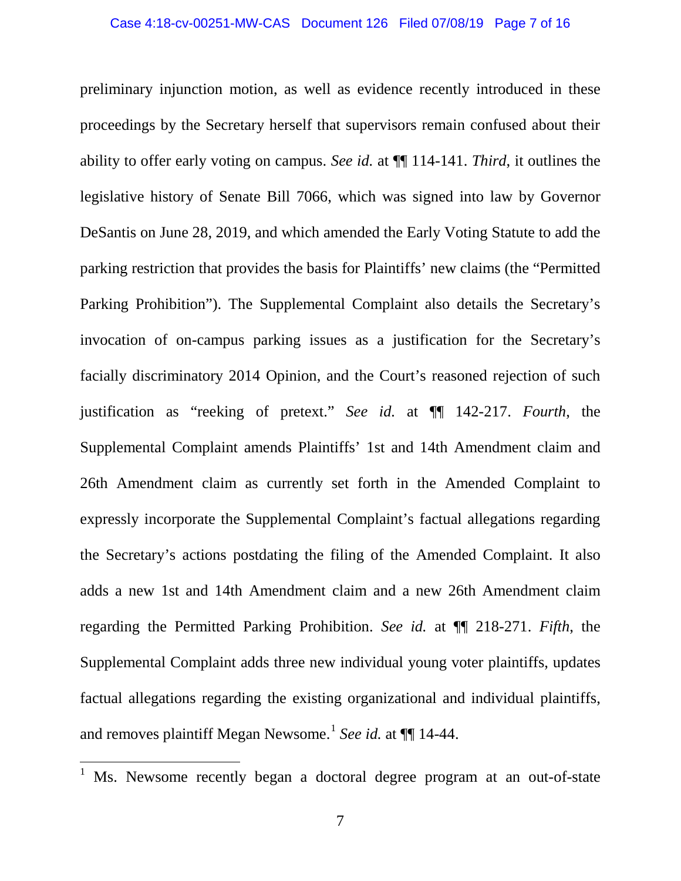preliminary injunction motion, as well as evidence recently introduced in these proceedings by the Secretary herself that supervisors remain confused about their ability to offer early voting on campus. *See id.* at ¶¶ 114-141. *Third*, it outlines the legislative history of Senate Bill 7066, which was signed into law by Governor DeSantis on June 28, 2019, and which amended the Early Voting Statute to add the parking restriction that provides the basis for Plaintiffs' new claims (the "Permitted Parking Prohibition"). The Supplemental Complaint also details the Secretary's invocation of on-campus parking issues as a justification for the Secretary's facially discriminatory 2014 Opinion, and the Court's reasoned rejection of such justification as "reeking of pretext." *See id.* at ¶¶ 142-217. *Fourth*, the Supplemental Complaint amends Plaintiffs' 1st and 14th Amendment claim and 26th Amendment claim as currently set forth in the Amended Complaint to expressly incorporate the Supplemental Complaint's factual allegations regarding the Secretary's actions postdating the filing of the Amended Complaint. It also adds a new 1st and 14th Amendment claim and a new 26th Amendment claim regarding the Permitted Parking Prohibition. *See id.* at ¶¶ 218-271. *Fifth*, the Supplemental Complaint adds three new individual young voter plaintiffs, updates factual allegations regarding the existing organizational and individual plaintiffs, and removes plaintiff Megan Newsome.<sup>[1](#page-6-0)</sup> *See id.* at  $\P\P$  14-44.

<span id="page-6-0"></span><sup>1</sup> Ms. Newsome recently began a doctoral degree program at an out-of-state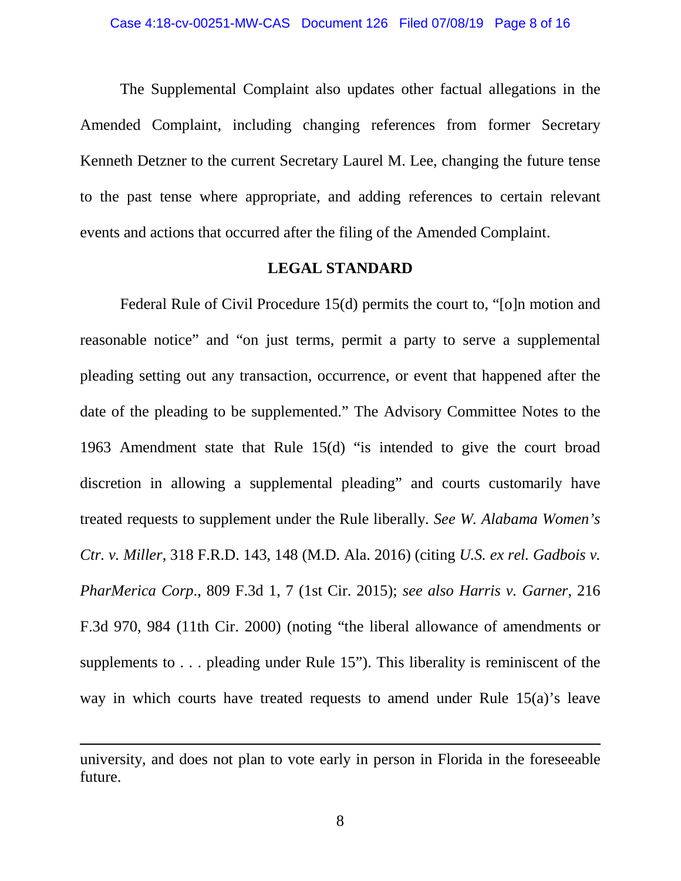The Supplemental Complaint also updates other factual allegations in the Amended Complaint, including changing references from former Secretary Kenneth Detzner to the current Secretary Laurel M. Lee, changing the future tense to the past tense where appropriate, and adding references to certain relevant events and actions that occurred after the filing of the Amended Complaint.

#### **LEGAL STANDARD**

Federal Rule of Civil Procedure 15(d) permits the court to, "[o]n motion and reasonable notice" and "on just terms, permit a party to serve a supplemental pleading setting out any transaction, occurrence, or event that happened after the date of the pleading to be supplemented." The Advisory Committee Notes to the 1963 Amendment state that Rule 15(d) "is intended to give the court broad discretion in allowing a supplemental pleading" and courts customarily have treated requests to supplement under the Rule liberally. *See W. Alabama Women's Ctr. v. Miller*, 318 F.R.D. 143, 148 (M.D. Ala. 2016) (citing *U.S. ex rel. Gadbois v. PharMerica Corp*., 809 F.3d 1, 7 (1st Cir. 2015); *see also Harris v. Garner*, 216 F.3d 970, 984 (11th Cir. 2000) (noting "the liberal allowance of amendments or supplements to . . . pleading under Rule 15"). This liberality is reminiscent of the way in which courts have treated requests to amend under Rule 15(a)'s leave

 $\overline{a}$ 

university, and does not plan to vote early in person in Florida in the foreseeable future.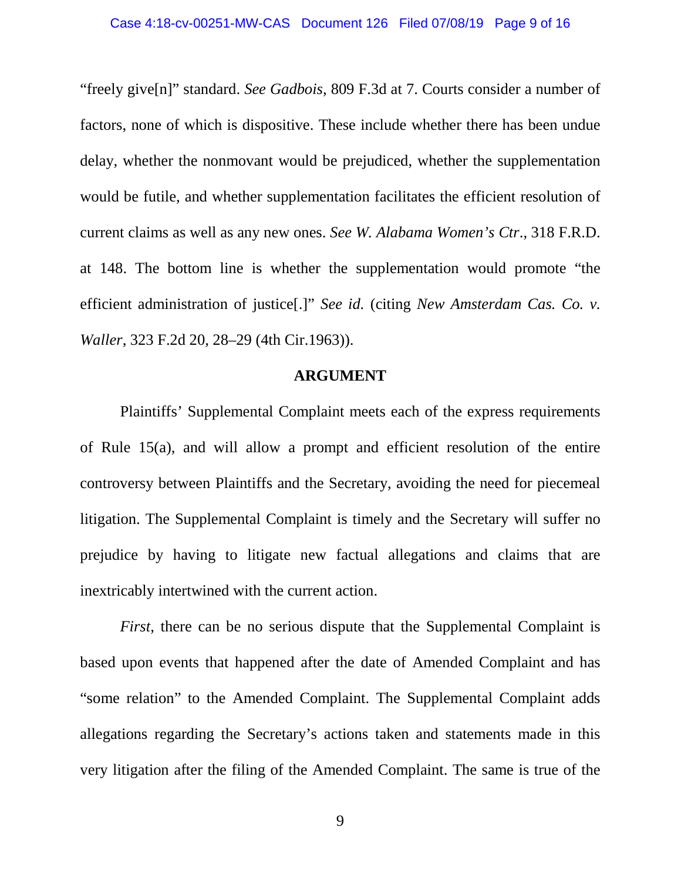"freely give[n]" standard. *See Gadbois*, 809 F.3d at 7. Courts consider a number of factors, none of which is dispositive. These include whether there has been undue delay, whether the nonmovant would be prejudiced, whether the supplementation would be futile, and whether supplementation facilitates the efficient resolution of current claims as well as any new ones. *See W. Alabama Women's Ctr*., 318 F.R.D. at 148. The bottom line is whether the supplementation would promote "the efficient administration of justice[.]" *See id.* (citing *New Amsterdam Cas. Co. v. Waller*, 323 F.2d 20, 28–29 (4th Cir.1963)).

### **ARGUMENT**

Plaintiffs' Supplemental Complaint meets each of the express requirements of Rule 15(a), and will allow a prompt and efficient resolution of the entire controversy between Plaintiffs and the Secretary, avoiding the need for piecemeal litigation. The Supplemental Complaint is timely and the Secretary will suffer no prejudice by having to litigate new factual allegations and claims that are inextricably intertwined with the current action.

*First*, there can be no serious dispute that the Supplemental Complaint is based upon events that happened after the date of Amended Complaint and has "some relation" to the Amended Complaint. The Supplemental Complaint adds allegations regarding the Secretary's actions taken and statements made in this very litigation after the filing of the Amended Complaint. The same is true of the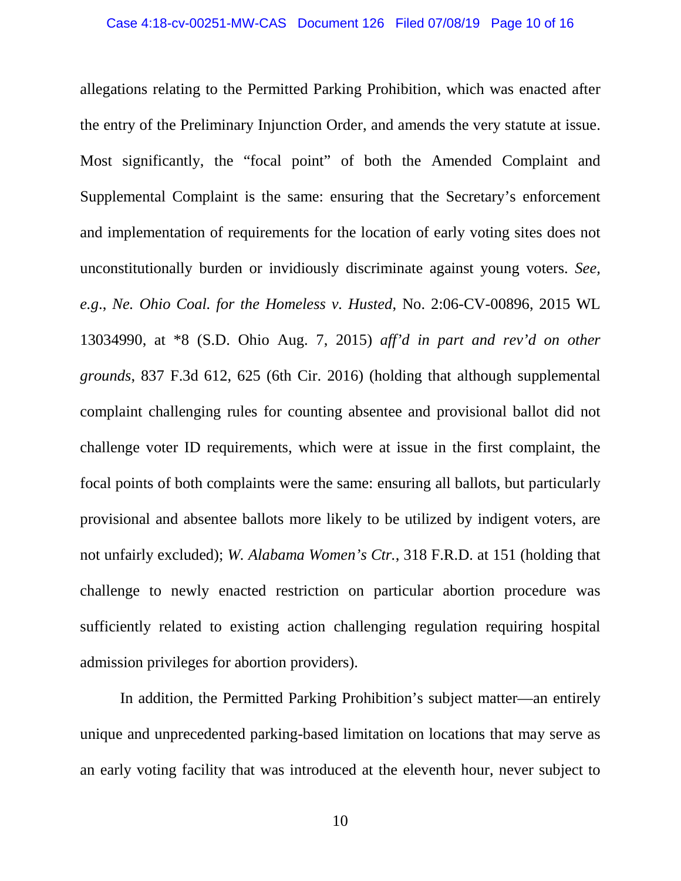allegations relating to the Permitted Parking Prohibition, which was enacted after the entry of the Preliminary Injunction Order, and amends the very statute at issue. Most significantly, the "focal point" of both the Amended Complaint and Supplemental Complaint is the same: ensuring that the Secretary's enforcement and implementation of requirements for the location of early voting sites does not unconstitutionally burden or invidiously discriminate against young voters. *See, e.g*., *Ne. Ohio Coal. for the Homeless v. Husted*, No. 2:06-CV-00896, 2015 WL 13034990, at \*8 (S.D. Ohio Aug. 7, 2015) *aff'd in part and rev'd on other grounds*, 837 F.3d 612, 625 (6th Cir. 2016) (holding that although supplemental complaint challenging rules for counting absentee and provisional ballot did not challenge voter ID requirements, which were at issue in the first complaint, the focal points of both complaints were the same: ensuring all ballots, but particularly provisional and absentee ballots more likely to be utilized by indigent voters, are not unfairly excluded); *W. Alabama Women's Ctr.*, 318 F.R.D. at 151 (holding that challenge to newly enacted restriction on particular abortion procedure was sufficiently related to existing action challenging regulation requiring hospital admission privileges for abortion providers).

In addition, the Permitted Parking Prohibition's subject matter—an entirely unique and unprecedented parking-based limitation on locations that may serve as an early voting facility that was introduced at the eleventh hour, never subject to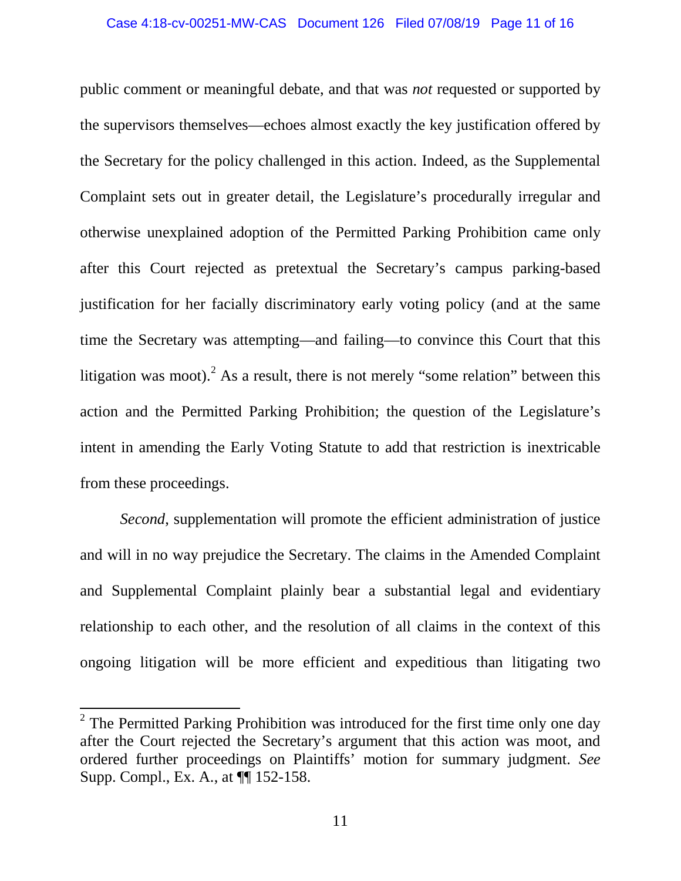public comment or meaningful debate, and that was *not* requested or supported by the supervisors themselves—echoes almost exactly the key justification offered by the Secretary for the policy challenged in this action. Indeed, as the Supplemental Complaint sets out in greater detail, the Legislature's procedurally irregular and otherwise unexplained adoption of the Permitted Parking Prohibition came only after this Court rejected as pretextual the Secretary's campus parking-based justification for her facially discriminatory early voting policy (and at the same time the Secretary was attempting—and failing—to convince this Court that this litigation was moot). As a result, there is not merely "some relation" between this action and the Permitted Parking Prohibition; the question of the Legislature's intent in amending the Early Voting Statute to add that restriction is inextricable from these proceedings.

*Second*, supplementation will promote the efficient administration of justice and will in no way prejudice the Secretary. The claims in the Amended Complaint and Supplemental Complaint plainly bear a substantial legal and evidentiary relationship to each other, and the resolution of all claims in the context of this ongoing litigation will be more efficient and expeditious than litigating two

<span id="page-10-0"></span> $2$  The Permitted Parking Prohibition was introduced for the first time only one day after the Court rejected the Secretary's argument that this action was moot, and ordered further proceedings on Plaintiffs' motion for summary judgment. *See* Supp. Compl., Ex. A., at ¶¶ 152-158.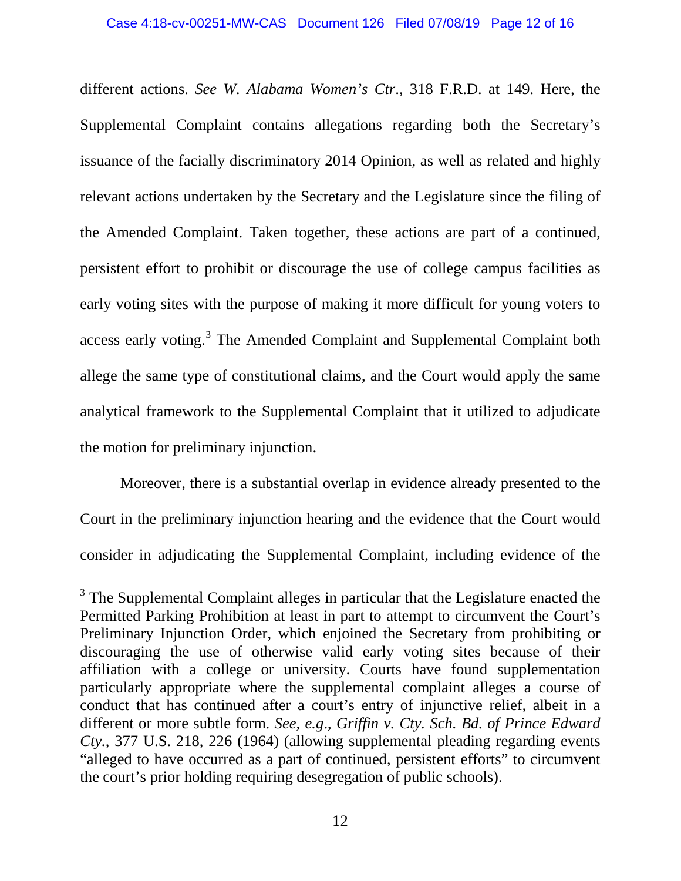different actions. *See W. Alabama Women's Ctr*., 318 F.R.D. at 149. Here, the Supplemental Complaint contains allegations regarding both the Secretary's issuance of the facially discriminatory 2014 Opinion, as well as related and highly relevant actions undertaken by the Secretary and the Legislature since the filing of the Amended Complaint. Taken together, these actions are part of a continued, persistent effort to prohibit or discourage the use of college campus facilities as early voting sites with the purpose of making it more difficult for young voters to access early voting.<sup>[3](#page-11-0)</sup> The Amended Complaint and Supplemental Complaint both allege the same type of constitutional claims, and the Court would apply the same analytical framework to the Supplemental Complaint that it utilized to adjudicate the motion for preliminary injunction.

Moreover, there is a substantial overlap in evidence already presented to the Court in the preliminary injunction hearing and the evidence that the Court would consider in adjudicating the Supplemental Complaint, including evidence of the

<span id="page-11-0"></span><sup>&</sup>lt;sup>3</sup> The Supplemental Complaint alleges in particular that the Legislature enacted the Permitted Parking Prohibition at least in part to attempt to circumvent the Court's Preliminary Injunction Order, which enjoined the Secretary from prohibiting or discouraging the use of otherwise valid early voting sites because of their affiliation with a college or university. Courts have found supplementation particularly appropriate where the supplemental complaint alleges a course of conduct that has continued after a court's entry of injunctive relief, albeit in a different or more subtle form. *See, e.g*., *Griffin v. Cty. Sch. Bd. of Prince Edward Cty.*, 377 U.S. 218, 226 (1964) (allowing supplemental pleading regarding events "alleged to have occurred as a part of continued, persistent efforts" to circumvent the court's prior holding requiring desegregation of public schools).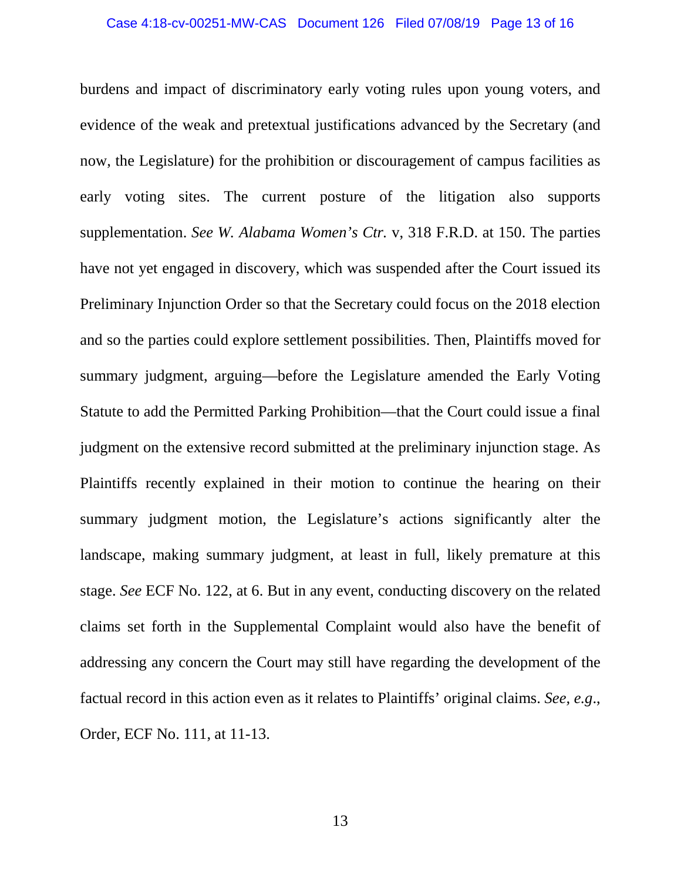burdens and impact of discriminatory early voting rules upon young voters, and evidence of the weak and pretextual justifications advanced by the Secretary (and now, the Legislature) for the prohibition or discouragement of campus facilities as early voting sites. The current posture of the litigation also supports supplementation. *See W. Alabama Women's Ctr.* v, 318 F.R.D. at 150. The parties have not yet engaged in discovery, which was suspended after the Court issued its Preliminary Injunction Order so that the Secretary could focus on the 2018 election and so the parties could explore settlement possibilities. Then, Plaintiffs moved for summary judgment, arguing—before the Legislature amended the Early Voting Statute to add the Permitted Parking Prohibition—that the Court could issue a final judgment on the extensive record submitted at the preliminary injunction stage. As Plaintiffs recently explained in their motion to continue the hearing on their summary judgment motion, the Legislature's actions significantly alter the landscape, making summary judgment, at least in full, likely premature at this stage. *See* ECF No. 122, at 6. But in any event, conducting discovery on the related claims set forth in the Supplemental Complaint would also have the benefit of addressing any concern the Court may still have regarding the development of the factual record in this action even as it relates to Plaintiffs' original claims. *See, e.g*., Order, ECF No. 111, at 11-13.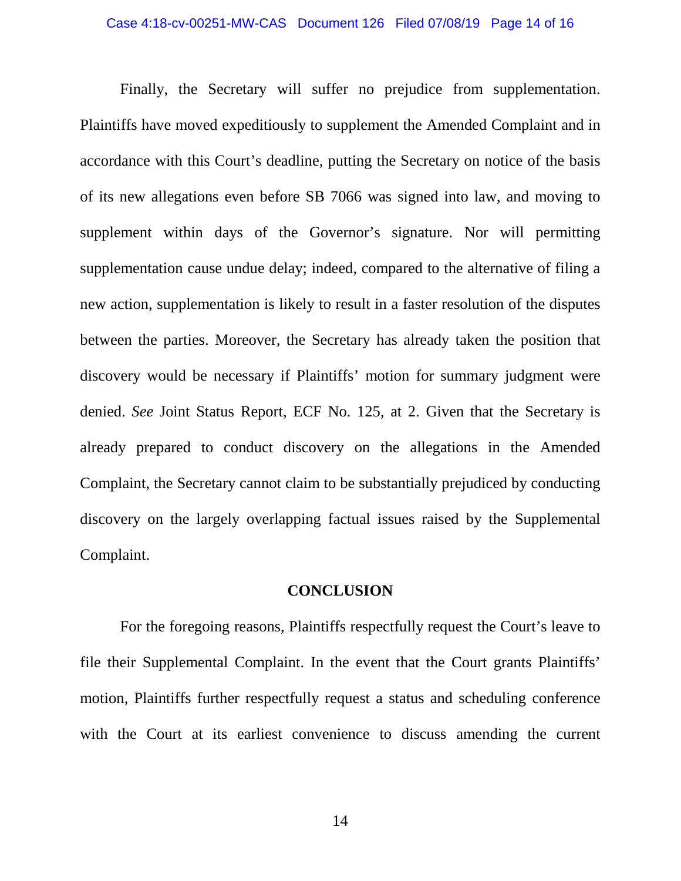Finally, the Secretary will suffer no prejudice from supplementation. Plaintiffs have moved expeditiously to supplement the Amended Complaint and in accordance with this Court's deadline, putting the Secretary on notice of the basis of its new allegations even before SB 7066 was signed into law, and moving to supplement within days of the Governor's signature. Nor will permitting supplementation cause undue delay; indeed, compared to the alternative of filing a new action, supplementation is likely to result in a faster resolution of the disputes between the parties. Moreover, the Secretary has already taken the position that discovery would be necessary if Plaintiffs' motion for summary judgment were denied. *See* Joint Status Report, ECF No. 125, at 2. Given that the Secretary is already prepared to conduct discovery on the allegations in the Amended Complaint, the Secretary cannot claim to be substantially prejudiced by conducting discovery on the largely overlapping factual issues raised by the Supplemental Complaint.

### **CONCLUSION**

For the foregoing reasons, Plaintiffs respectfully request the Court's leave to file their Supplemental Complaint. In the event that the Court grants Plaintiffs' motion, Plaintiffs further respectfully request a status and scheduling conference with the Court at its earliest convenience to discuss amending the current

14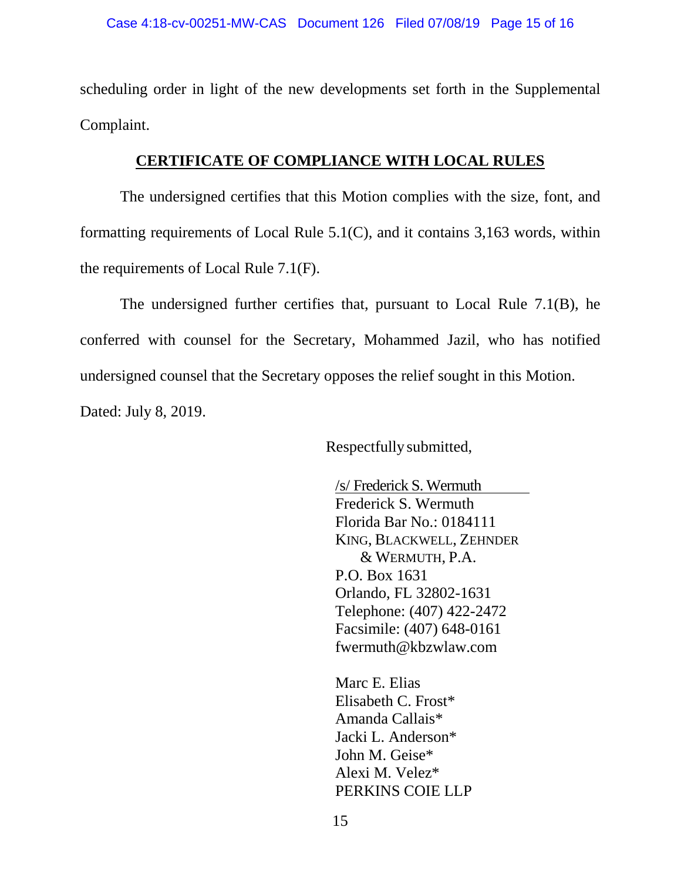scheduling order in light of the new developments set forth in the Supplemental Complaint.

## **CERTIFICATE OF COMPLIANCE WITH LOCAL RULES**

The undersigned certifies that this Motion complies with the size, font, and formatting requirements of Local Rule 5.1(C), and it contains 3,163 words, within the requirements of Local Rule 7.1(F).

The undersigned further certifies that, pursuant to Local Rule 7.1(B), he conferred with counsel for the Secretary, Mohammed Jazil, who has notified undersigned counsel that the Secretary opposes the relief sought in this Motion. Dated: July 8, 2019.

Respectfully submitted,

/s/ Frederick S. Wermuth Frederick S. Wermuth Florida Bar No.: 0184111 KING, BLACKWELL, ZEHNDER & WERMUTH, P.A. P.O. Box 1631 Orlando, FL 32802-1631 Telephone: (407) 422-2472 Facsimile: (407) 648-0161 fwermuth@kbzwlaw.com

Marc E. Elias Elisabeth C. Frost\* Amanda Callais\* Jacki L. Anderson\* John M. Geise\* Alexi M. Velez\* PERKINS COIE LLP